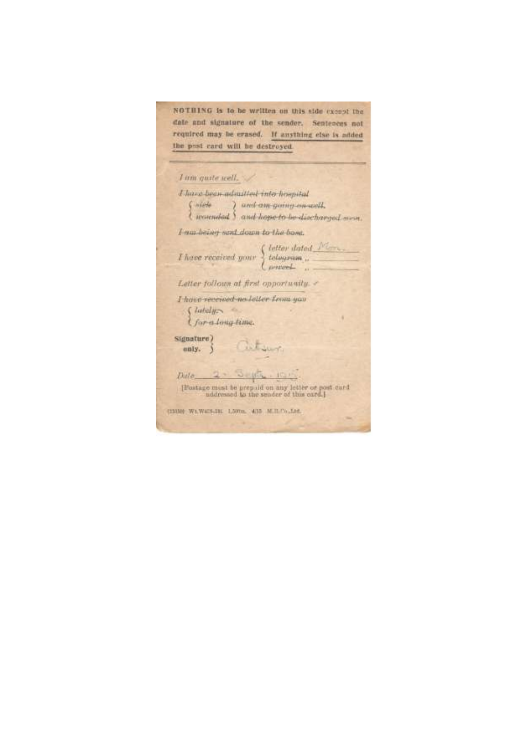NOTHING is to be written on this side except the date and signature of the sender. Sentences not required may be crased. If anything else is added the post card will be destroyed.

I am quite well. I have been admitted into hompital ( siele ) und am going en well. *Lucarndad S. and hope to be discharged some*. I am bainet sent down to the boss.  $\label{eq:1} I \ \emph{have received your} \ \left\{ \ \emph{letter data} \ \emph{Mm} \right\},$ Letter follows at first opportunity. I have received no letter from you  $\int$  lately  $\sim$ *I for a long time.* Signature) Cutsur  $unly.$   $\big)$ Dille 2. Septe. [Postage must be prepaid on any letter or post card<br>uddressed to the sender of this card.] (1308) WAW475-3H 1,500m, 435 M.B.Co.,Ltd.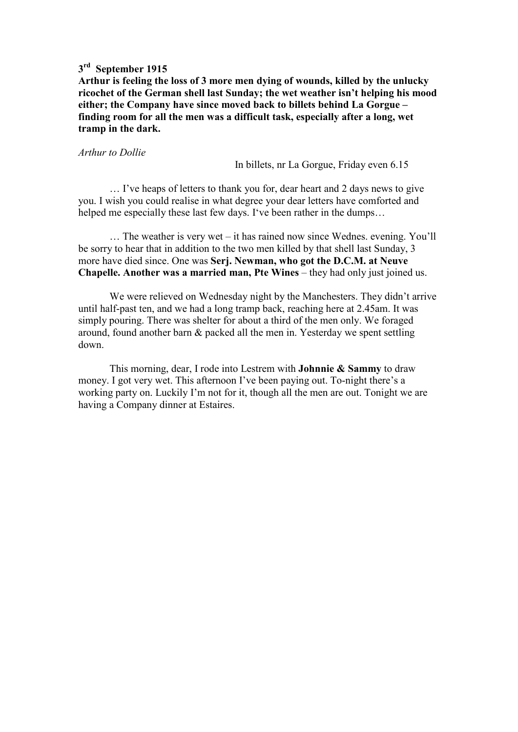## **3 rd September 1915**

**Arthur is feeling the loss of 3 more men dying of wounds, killed by the unlucky ricochet of the German shell last Sunday; the wet weather isn't helping his mood either; the Company have since moved back to billets behind La Gorgue – finding room for all the men was a difficult task, especially after a long, wet tramp in the dark.** 

#### *Arthur to Dollie*

In billets, nr La Gorgue, Friday even 6.15

 … I've heaps of letters to thank you for, dear heart and 2 days news to give you. I wish you could realise in what degree your dear letters have comforted and helped me especially these last few days. I've been rather in the dumps…

 … The weather is very wet – it has rained now since Wednes. evening. You'll be sorry to hear that in addition to the two men killed by that shell last Sunday, 3 more have died since. One was **Serj. Newman, who got the D.C.M. at Neuve Chapelle. Another was a married man, Pte Wines** – they had only just joined us.

 We were relieved on Wednesday night by the Manchesters. They didn't arrive until half-past ten, and we had a long tramp back, reaching here at 2.45am. It was simply pouring. There was shelter for about a third of the men only. We foraged around, found another barn & packed all the men in. Yesterday we spent settling down.

 This morning, dear, I rode into Lestrem with **Johnnie & Sammy** to draw money. I got very wet. This afternoon I've been paying out. To-night there's a working party on. Luckily I'm not for it, though all the men are out. Tonight we are having a Company dinner at Estaires.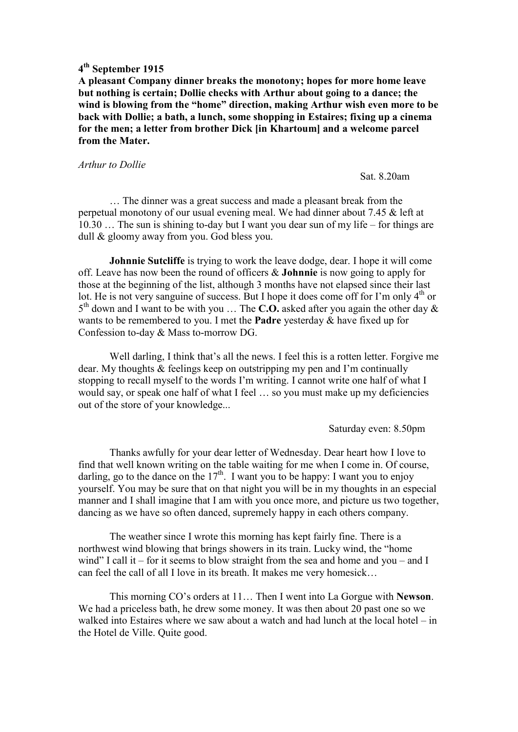**A pleasant Company dinner breaks the monotony; hopes for more home leave but nothing is certain; Dollie checks with Arthur about going to a dance; the wind is blowing from the "home" direction, making Arthur wish even more to be back with Dollie; a bath, a lunch, some shopping in Estaires; fixing up a cinema for the men; a letter from brother Dick [in Khartoum] and a welcome parcel from the Mater.** 

#### *Arthur to Dollie*

Sat. 8.20am

 … The dinner was a great success and made a pleasant break from the perpetual monotony of our usual evening meal. We had dinner about 7.45 & left at 10.30 … The sun is shining to-day but I want you dear sun of my life – for things are dull & gloomy away from you. God bless you.

**Johnnie Sutcliffe** is trying to work the leave dodge, dear. I hope it will come off. Leave has now been the round of officers & **Johnnie** is now going to apply for those at the beginning of the list, although 3 months have not elapsed since their last lot. He is not very sanguine of success. But I hope it does come off for I'm only  $4<sup>th</sup>$  or 5 th down and I want to be with you … The **C.O.** asked after you again the other day & wants to be remembered to you. I met the **Padre** yesterday & have fixed up for Confession to-day & Mass to-morrow DG.

 Well darling, I think that's all the news. I feel this is a rotten letter. Forgive me dear. My thoughts & feelings keep on outstripping my pen and I'm continually stopping to recall myself to the words I'm writing. I cannot write one half of what I would say, or speak one half of what I feel … so you must make up my deficiencies out of the store of your knowledge...

Saturday even: 8.50pm

 Thanks awfully for your dear letter of Wednesday. Dear heart how I love to find that well known writing on the table waiting for me when I come in. Of course, darling, go to the dance on the  $17<sup>th</sup>$ . I want you to be happy: I want you to enjoy yourself. You may be sure that on that night you will be in my thoughts in an especial manner and I shall imagine that I am with you once more, and picture us two together, dancing as we have so often danced, supremely happy in each others company.

 The weather since I wrote this morning has kept fairly fine. There is a northwest wind blowing that brings showers in its train. Lucky wind, the "home wind" I call it – for it seems to blow straight from the sea and home and you – and I can feel the call of all I love in its breath. It makes me very homesick…

 This morning CO's orders at 11… Then I went into La Gorgue with **Newson**. We had a priceless bath, he drew some money. It was then about 20 past one so we walked into Estaires where we saw about a watch and had lunch at the local hotel – in the Hotel de Ville. Quite good.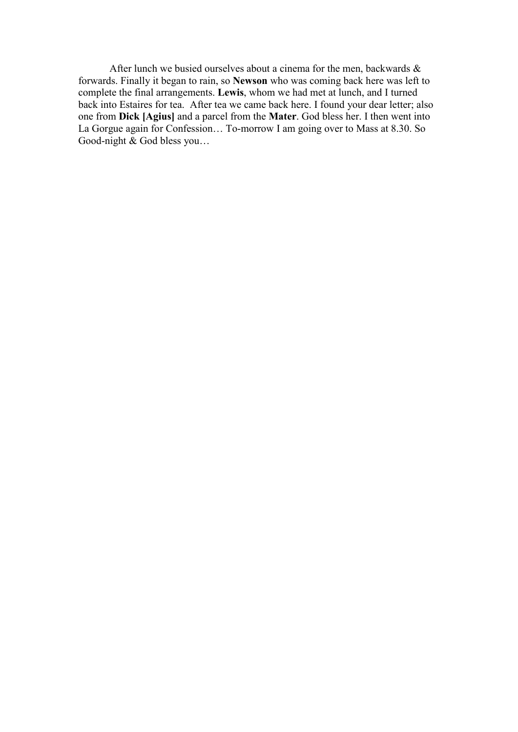After lunch we busied ourselves about a cinema for the men, backwards & forwards. Finally it began to rain, so **Newson** who was coming back here was left to complete the final arrangements. **Lewis**, whom we had met at lunch, and I turned back into Estaires for tea. After tea we came back here. I found your dear letter; also one from **Dick [Agius]** and a parcel from the **Mater**. God bless her. I then went into La Gorgue again for Confession… To-morrow I am going over to Mass at 8.30. So Good-night & God bless you…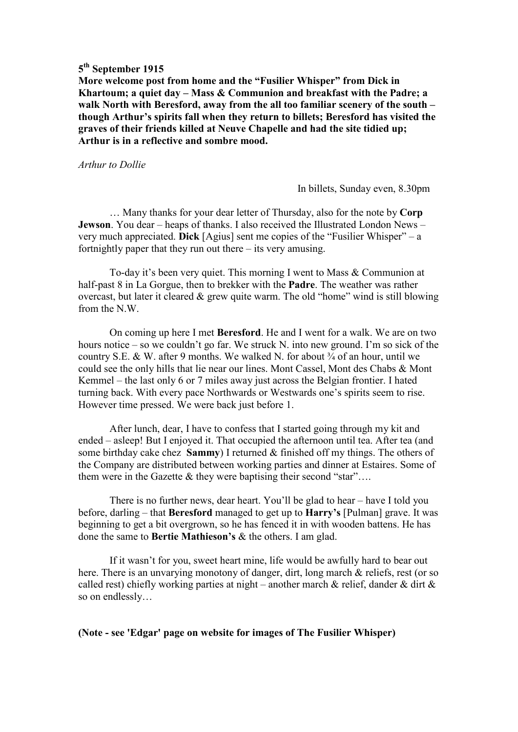**More welcome post from home and the "Fusilier Whisper" from Dick in Khartoum; a quiet day – Mass & Communion and breakfast with the Padre; a walk North with Beresford, away from the all too familiar scenery of the south – though Arthur's spirits fall when they return to billets; Beresford has visited the graves of their friends killed at Neuve Chapelle and had the site tidied up; Arthur is in a reflective and sombre mood.** 

*Arthur to Dollie* 

In billets, Sunday even, 8.30pm

 … Many thanks for your dear letter of Thursday, also for the note by **Corp Jewson**. You dear – heaps of thanks. I also received the Illustrated London News – very much appreciated. **Dick** [Agius] sent me copies of the "Fusilier Whisper" – a fortnightly paper that they run out there  $-$  its very amusing.

 To-day it's been very quiet. This morning I went to Mass & Communion at half-past 8 in La Gorgue, then to brekker with the **Padre**. The weather was rather overcast, but later it cleared & grew quite warm. The old "home" wind is still blowing from the N.W.

 On coming up here I met **Beresford**. He and I went for a walk. We are on two hours notice – so we couldn't go far. We struck N. into new ground. I'm so sick of the country S.E. & W. after 9 months. We walked N. for about  $\frac{3}{4}$  of an hour, until we could see the only hills that lie near our lines. Mont Cassel, Mont des Chabs & Mont Kemmel – the last only 6 or 7 miles away just across the Belgian frontier. I hated turning back. With every pace Northwards or Westwards one's spirits seem to rise. However time pressed. We were back just before 1.

 After lunch, dear, I have to confess that I started going through my kit and ended – asleep! But I enjoyed it. That occupied the afternoon until tea. After tea (and some birthday cake chez **Sammy**) I returned & finished off my things. The others of the Company are distributed between working parties and dinner at Estaires. Some of them were in the Gazette & they were baptising their second "star"....

 There is no further news, dear heart. You'll be glad to hear – have I told you before, darling – that **Beresford** managed to get up to **Harry's** [Pulman] grave. It was beginning to get a bit overgrown, so he has fenced it in with wooden battens. He has done the same to **Bertie Mathieson's** & the others. I am glad.

 If it wasn't for you, sweet heart mine, life would be awfully hard to bear out here. There is an unvarying monotony of danger, dirt, long march & reliefs, rest (or so called rest) chiefly working parties at night – another march  $\&$  relief, dander  $\&$  dirt  $\&$ so on endlessly…

**(Note - see 'Edgar' page on website for images of The Fusilier Whisper)**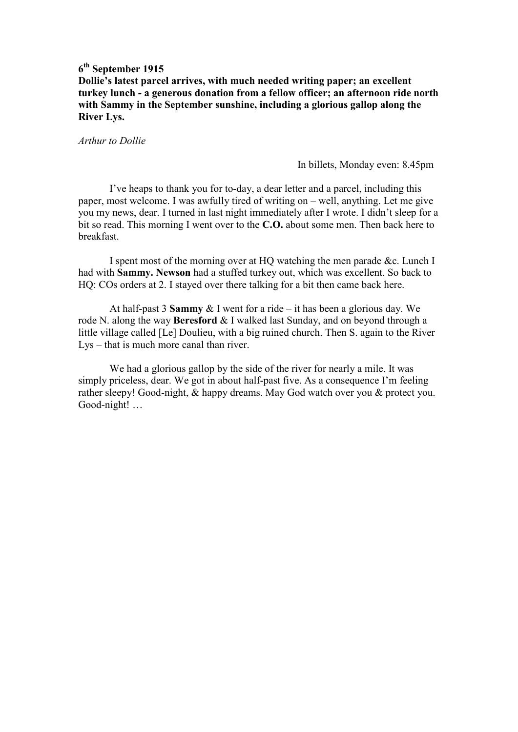**Dollie's latest parcel arrives, with much needed writing paper; an excellent turkey lunch - a generous donation from a fellow officer; an afternoon ride north with Sammy in the September sunshine, including a glorious gallop along the River Lys.** 

*Arthur to Dollie* 

In billets, Monday even: 8.45pm

 I've heaps to thank you for to-day, a dear letter and a parcel, including this paper, most welcome. I was awfully tired of writing on – well, anything. Let me give you my news, dear. I turned in last night immediately after I wrote. I didn't sleep for a bit so read. This morning I went over to the **C.O.** about some men. Then back here to breakfast.

 I spent most of the morning over at HQ watching the men parade &c. Lunch I had with **Sammy. Newson** had a stuffed turkey out, which was excellent. So back to HQ: COs orders at 2. I stayed over there talking for a bit then came back here.

 At half-past 3 **Sammy** & I went for a ride – it has been a glorious day. We rode N. along the way **Beresford** & I walked last Sunday, and on beyond through a little village called [Le] Doulieu, with a big ruined church. Then S. again to the River Lys – that is much more canal than river.

 We had a glorious gallop by the side of the river for nearly a mile. It was simply priceless, dear. We got in about half-past five. As a consequence I'm feeling rather sleepy! Good-night, & happy dreams. May God watch over you & protect you. Good-night! …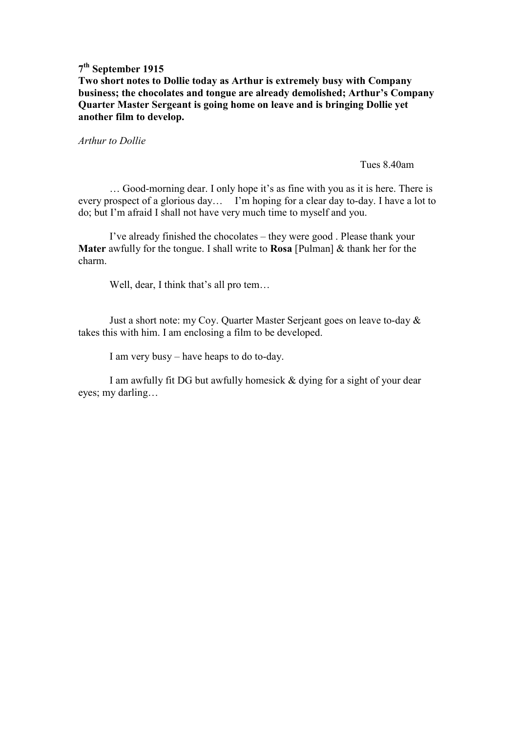**Two short notes to Dollie today as Arthur is extremely busy with Company business; the chocolates and tongue are already demolished; Arthur's Company Quarter Master Sergeant is going home on leave and is bringing Dollie yet another film to develop.** 

*Arthur to Dollie* 

Tues 8.40am

… Good-morning dear. I only hope it's as fine with you as it is here. There is every prospect of a glorious day… I'm hoping for a clear day to-day. I have a lot to do; but I'm afraid I shall not have very much time to myself and you.

 I've already finished the chocolates – they were good . Please thank your **Mater** awfully for the tongue. I shall write to **Rosa** [Pulman] & thank her for the charm.

Well, dear, I think that's all pro tem…

 Just a short note: my Coy. Quarter Master Serjeant goes on leave to-day & takes this with him. I am enclosing a film to be developed.

I am very busy – have heaps to do to-day.

 I am awfully fit DG but awfully homesick & dying for a sight of your dear eyes; my darling…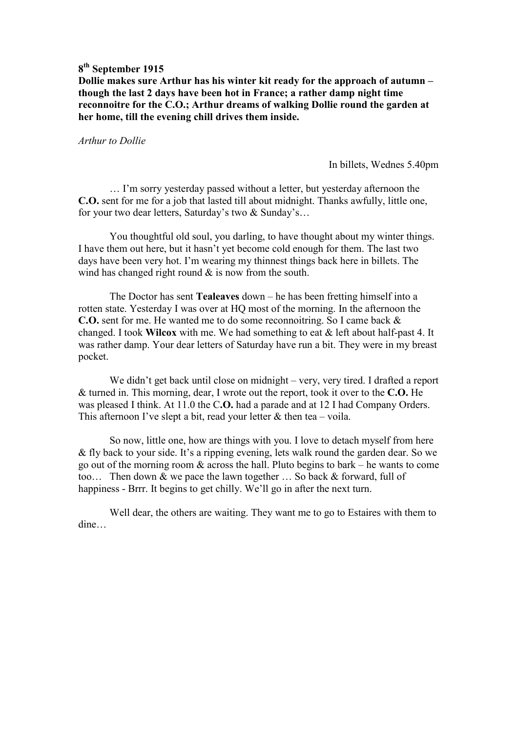**Dollie makes sure Arthur has his winter kit ready for the approach of autumn – though the last 2 days have been hot in France; a rather damp night time reconnoitre for the C.O.; Arthur dreams of walking Dollie round the garden at her home, till the evening chill drives them inside.** 

#### *Arthur to Dollie*

In billets, Wednes 5.40pm

 … I'm sorry yesterday passed without a letter, but yesterday afternoon the **C.O.** sent for me for a job that lasted till about midnight. Thanks awfully, little one, for your two dear letters, Saturday's two & Sunday's…

 You thoughtful old soul, you darling, to have thought about my winter things. I have them out here, but it hasn't yet become cold enough for them. The last two days have been very hot. I'm wearing my thinnest things back here in billets. The wind has changed right round  $\&$  is now from the south.

 The Doctor has sent **Tealeaves** down – he has been fretting himself into a rotten state. Yesterday I was over at HQ most of the morning. In the afternoon the **C.O.** sent for me. He wanted me to do some reconnoitring. So I came back & changed. I took **Wilcox** with me. We had something to eat & left about half-past 4. It was rather damp. Your dear letters of Saturday have run a bit. They were in my breast pocket.

We didn't get back until close on midnight – very, very tired. I drafted a report & turned in. This morning, dear, I wrote out the report, took it over to the **C.O.** He was pleased I think. At 11.0 the C**.O.** had a parade and at 12 I had Company Orders. This afternoon I've slept a bit, read your letter  $&$  then tea – voila.

 So now, little one, how are things with you. I love to detach myself from here & fly back to your side. It's a ripping evening, lets walk round the garden dear. So we go out of the morning room & across the hall. Pluto begins to bark – he wants to come too… Then down & we pace the lawn together … So back & forward, full of happiness - Brrr. It begins to get chilly. We'll go in after the next turn.

 Well dear, the others are waiting. They want me to go to Estaires with them to dine…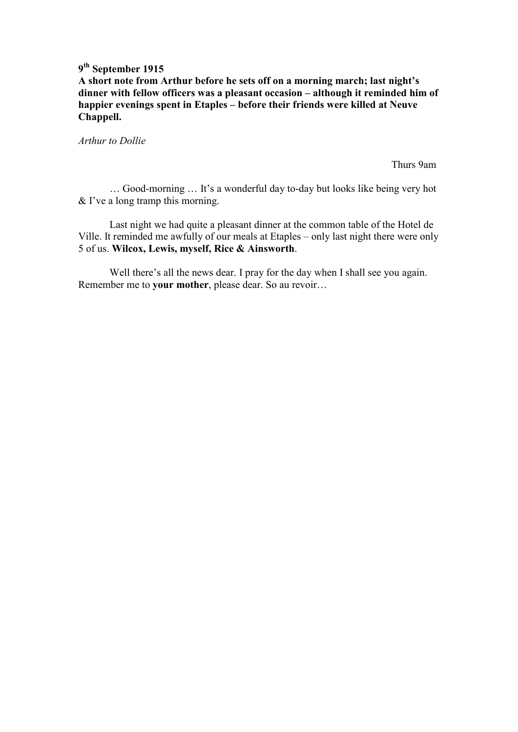**A short note from Arthur before he sets off on a morning march; last night's dinner with fellow officers was a pleasant occasion – although it reminded him of happier evenings spent in Etaples – before their friends were killed at Neuve Chappell.** 

*Arthur to Dollie* 

Thurs 9am

… Good-morning … It's a wonderful day to-day but looks like being very hot & I've a long tramp this morning.

 Last night we had quite a pleasant dinner at the common table of the Hotel de Ville. It reminded me awfully of our meals at Etaples – only last night there were only 5 of us. **Wilcox, Lewis, myself, Rice & Ainsworth**.

Well there's all the news dear. I pray for the day when I shall see you again. Remember me to **your mother**, please dear. So au revoir…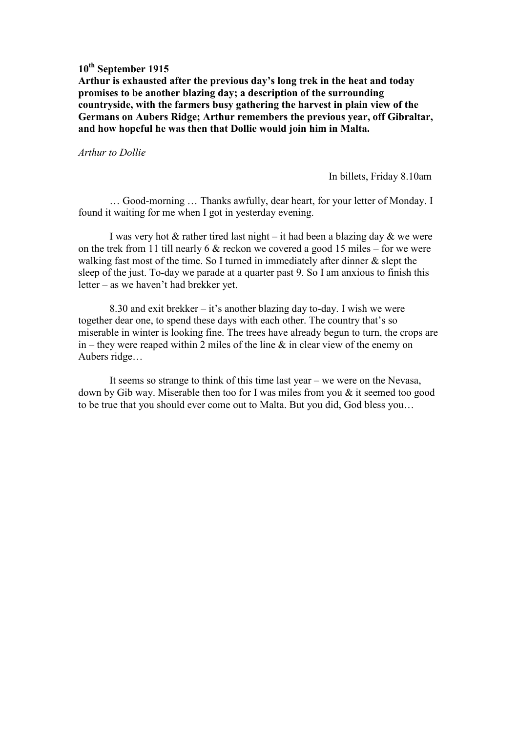**Arthur is exhausted after the previous day's long trek in the heat and today promises to be another blazing day; a description of the surrounding countryside, with the farmers busy gathering the harvest in plain view of the Germans on Aubers Ridge; Arthur remembers the previous year, off Gibraltar, and how hopeful he was then that Dollie would join him in Malta.** 

#### *Arthur to Dollie*

In billets, Friday 8.10am

 … Good-morning … Thanks awfully, dear heart, for your letter of Monday. I found it waiting for me when I got in yesterday evening.

I was very hot  $\&$  rather tired last night – it had been a blazing day  $\&$  we were on the trek from 11 till nearly 6 & reckon we covered a good 15 miles – for we were walking fast most of the time. So I turned in immediately after dinner  $\&$  slept the sleep of the just. To-day we parade at a quarter past 9. So I am anxious to finish this letter – as we haven't had brekker yet.

 8.30 and exit brekker – it's another blazing day to-day. I wish we were together dear one, to spend these days with each other. The country that's so miserable in winter is looking fine. The trees have already begun to turn, the crops are in – they were reaped within 2 miles of the line  $\&$  in clear view of the enemy on Aubers ridge…

 It seems so strange to think of this time last year – we were on the Nevasa, down by Gib way. Miserable then too for I was miles from you & it seemed too good to be true that you should ever come out to Malta. But you did, God bless you…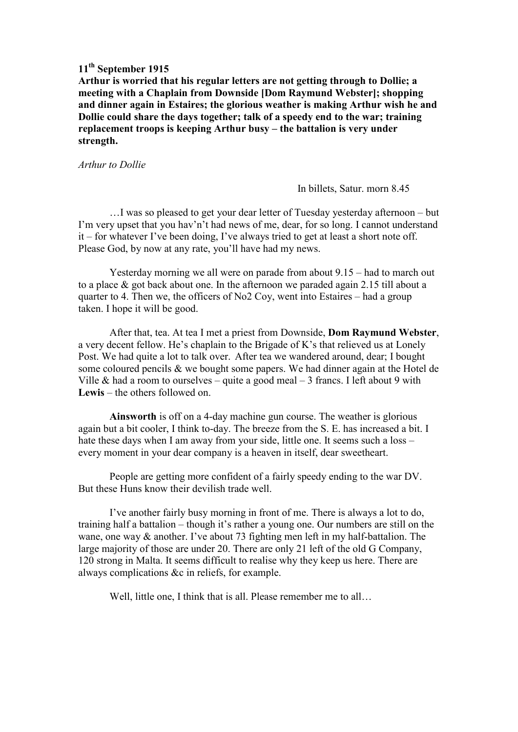**Arthur is worried that his regular letters are not getting through to Dollie; a meeting with a Chaplain from Downside [Dom Raymund Webster]; shopping and dinner again in Estaires; the glorious weather is making Arthur wish he and Dollie could share the days together; talk of a speedy end to the war; training replacement troops is keeping Arthur busy – the battalion is very under strength.** 

*Arthur to Dollie* 

In billets, Satur. morn 8.45

…I was so pleased to get your dear letter of Tuesday yesterday afternoon – but I'm very upset that you hav'n't had news of me, dear, for so long. I cannot understand it – for whatever I've been doing, I've always tried to get at least a short note off. Please God, by now at any rate, you'll have had my news.

 Yesterday morning we all were on parade from about 9.15 – had to march out to a place & got back about one. In the afternoon we paraded again 2.15 till about a quarter to 4. Then we, the officers of No2 Coy, went into Estaires – had a group taken. I hope it will be good.

 After that, tea. At tea I met a priest from Downside, **Dom Raymund Webster**, a very decent fellow. He's chaplain to the Brigade of K's that relieved us at Lonely Post. We had quite a lot to talk over. After tea we wandered around, dear; I bought some coloured pencils & we bought some papers. We had dinner again at the Hotel de Ville & had a room to ourselves – quite a good meal  $-3$  francs. I left about 9 with **Lewis** – the others followed on.

**Ainsworth** is off on a 4-day machine gun course. The weather is glorious again but a bit cooler, I think to-day. The breeze from the S. E. has increased a bit. I hate these days when I am away from your side, little one. It seems such a loss – every moment in your dear company is a heaven in itself, dear sweetheart.

 People are getting more confident of a fairly speedy ending to the war DV. But these Huns know their devilish trade well.

 I've another fairly busy morning in front of me. There is always a lot to do, training half a battalion – though it's rather a young one. Our numbers are still on the wane, one way & another. I've about 73 fighting men left in my half-battalion. The large majority of those are under 20. There are only 21 left of the old G Company, 120 strong in Malta. It seems difficult to realise why they keep us here. There are always complications &c in reliefs, for example.

Well, little one, I think that is all. Please remember me to all...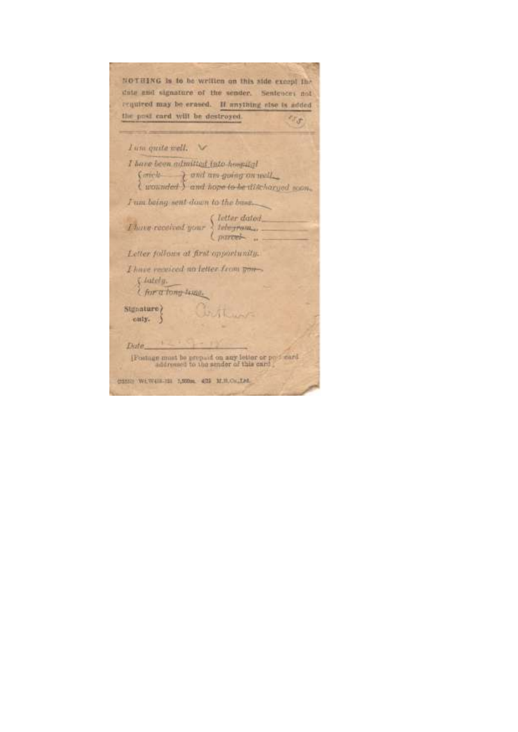| NOTHING Is to be written on this side except the                                                                   |
|--------------------------------------------------------------------------------------------------------------------|
| date and signature of the sender. Sentences not                                                                    |
| required may be erased. If anything also is added                                                                  |
| the post card will be destroyed.                                                                                   |
| Lum quite well.                                                                                                    |
|                                                                                                                    |
| I have been admitted into home tal                                                                                 |
| (sick and an going on will                                                                                         |
|                                                                                                                    |
| I am being sent down to the base.                                                                                  |
|                                                                                                                    |
| $\label{eq:1} There are second word your \left\{ \begin{array}{l} letter\ data\ \\ let or \ \end{array} \right. .$ |
| Letter follows at first opportunity.                                                                               |
| I have received an letter from 500-                                                                                |
|                                                                                                                    |
| Chately.<br>I for a fong temp.                                                                                     |
| Clerthur<br>Signature                                                                                              |
| only.                                                                                                              |
|                                                                                                                    |
| Date 1                                                                                                             |
|                                                                                                                    |
| [Postage must be prepaid on any letter or post card<br>addressed to the sender of this card                        |
|                                                                                                                    |
| (2332) WiW433-121 1,500m 422 M.H.Co. Left                                                                          |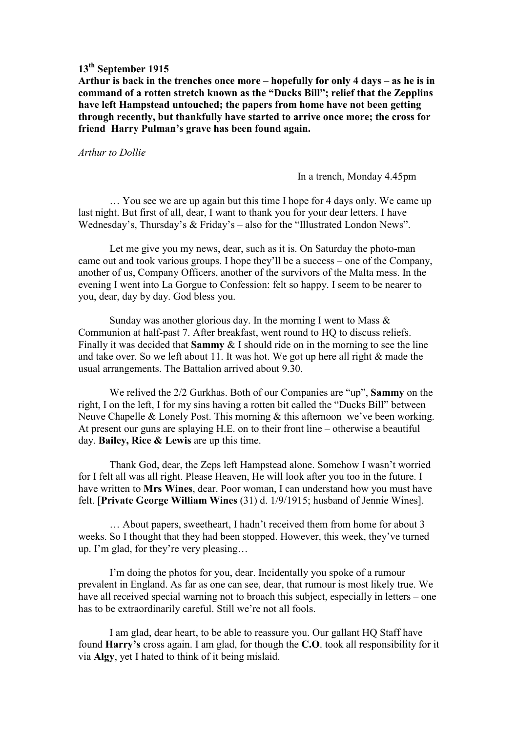**Arthur is back in the trenches once more – hopefully for only 4 days – as he is in command of a rotten stretch known as the "Ducks Bill"; relief that the Zepplins have left Hampstead untouched; the papers from home have not been getting through recently, but thankfully have started to arrive once more; the cross for friend Harry Pulman's grave has been found again.**

#### *Arthur to Dollie*

In a trench, Monday 4.45pm

 … You see we are up again but this time I hope for 4 days only. We came up last night. But first of all, dear, I want to thank you for your dear letters. I have Wednesday's, Thursday's & Friday's – also for the "Illustrated London News".

 Let me give you my news, dear, such as it is. On Saturday the photo-man came out and took various groups. I hope they'll be a success – one of the Company, another of us, Company Officers, another of the survivors of the Malta mess. In the evening I went into La Gorgue to Confession: felt so happy. I seem to be nearer to you, dear, day by day. God bless you.

Sunday was another glorious day. In the morning I went to Mass  $\&$ Communion at half-past 7. After breakfast, went round to HQ to discuss reliefs. Finally it was decided that **Sammy** & I should ride on in the morning to see the line and take over. So we left about 11. It was hot. We got up here all right & made the usual arrangements. The Battalion arrived about 9.30.

 We relived the 2/2 Gurkhas. Both of our Companies are "up", **Sammy** on the right, I on the left, I for my sins having a rotten bit called the "Ducks Bill" between Neuve Chapelle & Lonely Post. This morning & this afternoon we've been working. At present our guns are splaying H.E. on to their front line – otherwise a beautiful day. **Bailey, Rice & Lewis** are up this time.

 Thank God, dear, the Zeps left Hampstead alone. Somehow I wasn't worried for I felt all was all right. Please Heaven, He will look after you too in the future. I have written to **Mrs Wines**, dear. Poor woman, I can understand how you must have felt. [**Private George William Wines** (31) d. 1/9/1915; husband of Jennie Wines].

 … About papers, sweetheart, I hadn't received them from home for about 3 weeks. So I thought that they had been stopped. However, this week, they've turned up. I'm glad, for they're very pleasing…

 I'm doing the photos for you, dear. Incidentally you spoke of a rumour prevalent in England. As far as one can see, dear, that rumour is most likely true. We have all received special warning not to broach this subject, especially in letters – one has to be extraordinarily careful. Still we're not all fools.

 I am glad, dear heart, to be able to reassure you. Our gallant HQ Staff have found **Harry's** cross again. I am glad, for though the **C.O**. took all responsibility for it via **Algy**, yet I hated to think of it being mislaid.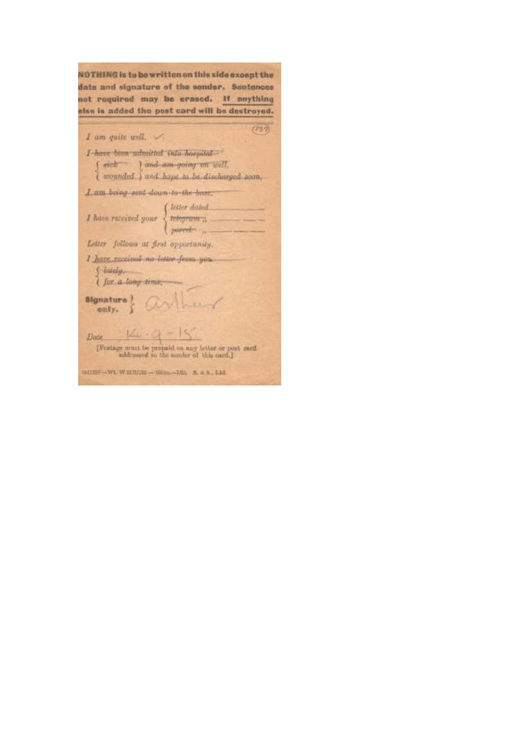NOTHING is to be written on this side except the date and signature of the sender. Sentences not required may be crased. If anything else is added the post card will be destroyed.

| I am quite well.                                                                                                              |  |
|-------------------------------------------------------------------------------------------------------------------------------|--|
| I have been udmitted vala hospital-<br>{ wet } and am going on well.<br>{ wounded } and hope to be discharged soon,           |  |
| I am being ourt down to the base.                                                                                             |  |
| $I \text{ have received your } \left\{ \begin{array}{l} letter\ datad \\ tetogram\  \\ new\end{array} \right.$                |  |
| Letter follows at first opportunity.                                                                                          |  |
| I have received no inter-from you<br>S lately,<br>I for a tong time,                                                          |  |
| $\frac{\text{Blg}\text{matter}}{\text{early}}$ and                                                                            |  |
| $4 - 9 - 15$<br><b>Evste</b><br>[Fostage must be propoid on any letter or post sard<br>addrassed to the aumbir of this card.] |  |
| (8133) - W1, W 317//H - 000m, 7/15 5, 8 H, Ltd.                                                                               |  |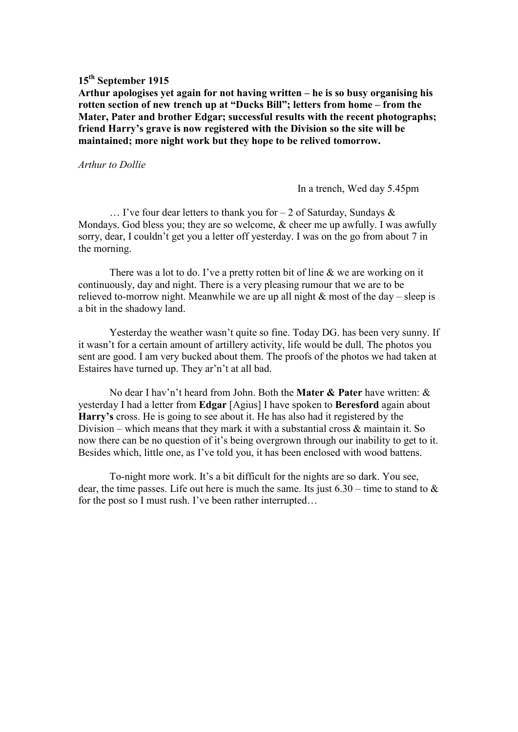**Arthur apologises yet again for not having written – he is so busy organising his rotten section of new trench up at "Ducks Bill"; letters from home – from the Mater, Pater and brother Edgar; successful results with the recent photographs; friend Harry's grave is now registered with the Division so the site will be maintained; more night work but they hope to be relived tomorrow.** 

#### *Arthur to Dollie*

In a trench, Wed day 5.45pm

 $\ldots$  I've four dear letters to thank you for  $-2$  of Saturday, Sundays & Mondays. God bless you; they are so welcome, & cheer me up awfully. I was awfully sorry, dear, I couldn't get you a letter off yesterday. I was on the go from about 7 in the morning.

There was a lot to do. I've a pretty rotten bit of line & we are working on it continuously, day and night. There is a very pleasing rumour that we are to be relieved to-morrow night. Meanwhile we are up all night  $\&$  most of the day – sleep is a bit in the shadowy land.

 Yesterday the weather wasn't quite so fine. Today DG. has been very sunny. If it wasn't for a certain amount of artillery activity, life would be dull. The photos you sent are good. I am very bucked about them. The proofs of the photos we had taken at Estaires have turned up. They ar'n't at all bad.

 No dear I hav'n't heard from John. Both the **Mater & Pater** have written: & yesterday I had a letter from **Edgar** [Agius] I have spoken to **Beresford** again about **Harry's** cross. He is going to see about it. He has also had it registered by the Division – which means that they mark it with a substantial cross & maintain it. So now there can be no question of it's being overgrown through our inability to get to it. Besides which, little one, as I've told you, it has been enclosed with wood battens.

 To-night more work. It's a bit difficult for the nights are so dark. You see, dear, the time passes. Life out here is much the same. Its just  $6.30$  – time to stand to  $\&$ for the post so I must rush. I've been rather interrupted…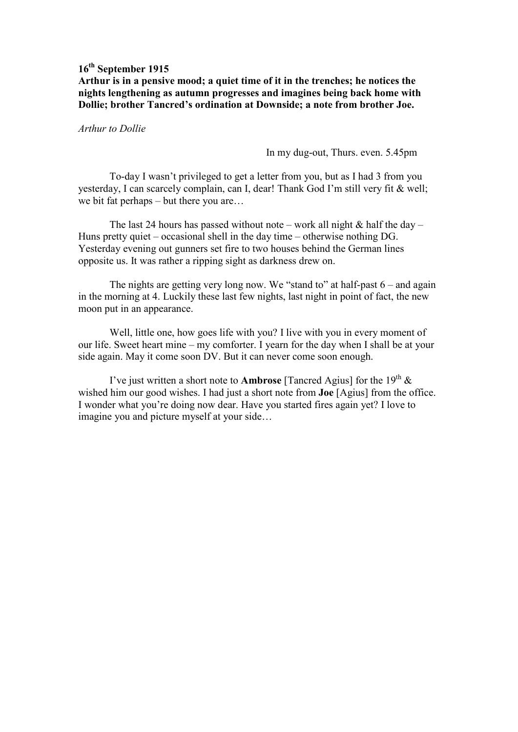**Arthur is in a pensive mood; a quiet time of it in the trenches; he notices the nights lengthening as autumn progresses and imagines being back home with Dollie; brother Tancred's ordination at Downside; a note from brother Joe.** 

*Arthur to Dollie* 

In my dug-out, Thurs. even. 5.45pm

 To-day I wasn't privileged to get a letter from you, but as I had 3 from you yesterday, I can scarcely complain, can I, dear! Thank God I'm still very fit & well; we bit fat perhaps – but there you are…

The last 24 hours has passed without note – work all night  $&$  half the day – Huns pretty quiet – occasional shell in the day time – otherwise nothing DG. Yesterday evening out gunners set fire to two houses behind the German lines opposite us. It was rather a ripping sight as darkness drew on.

The nights are getting very long now. We "stand to" at half-past  $6-$  and again in the morning at 4. Luckily these last few nights, last night in point of fact, the new moon put in an appearance.

 Well, little one, how goes life with you? I live with you in every moment of our life. Sweet heart mine – my comforter. I yearn for the day when I shall be at your side again. May it come soon DV. But it can never come soon enough.

I've just written a short note to **Ambrose** [Tancred Agius] for the  $19<sup>th</sup>$  & wished him our good wishes. I had just a short note from **Joe** [Agius] from the office. I wonder what you're doing now dear. Have you started fires again yet? I love to imagine you and picture myself at your side…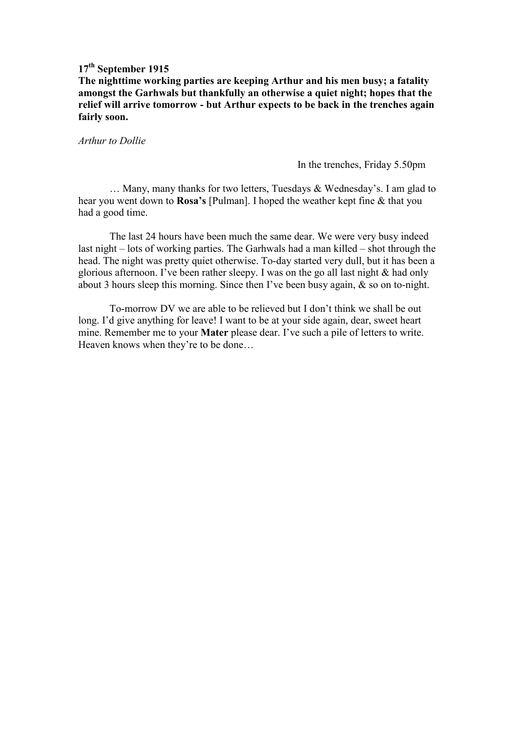**The nighttime working parties are keeping Arthur and his men busy; a fatality amongst the Garhwals but thankfully an otherwise a quiet night; hopes that the relief will arrive tomorrow - but Arthur expects to be back in the trenches again fairly soon.** 

*Arthur to Dollie* 

In the trenches, Friday 5.50pm

 … Many, many thanks for two letters, Tuesdays & Wednesday's. I am glad to hear you went down to **Rosa's** [Pulman]. I hoped the weather kept fine & that you had a good time.

 The last 24 hours have been much the same dear. We were very busy indeed last night – lots of working parties. The Garhwals had a man killed – shot through the head. The night was pretty quiet otherwise. To-day started very dull, but it has been a glorious afternoon. I've been rather sleepy. I was on the go all last night & had only about 3 hours sleep this morning. Since then I've been busy again, & so on to-night.

 To-morrow DV we are able to be relieved but I don't think we shall be out long. I'd give anything for leave! I want to be at your side again, dear, sweet heart mine. Remember me to your **Mater** please dear. I've such a pile of letters to write. Heaven knows when they're to be done…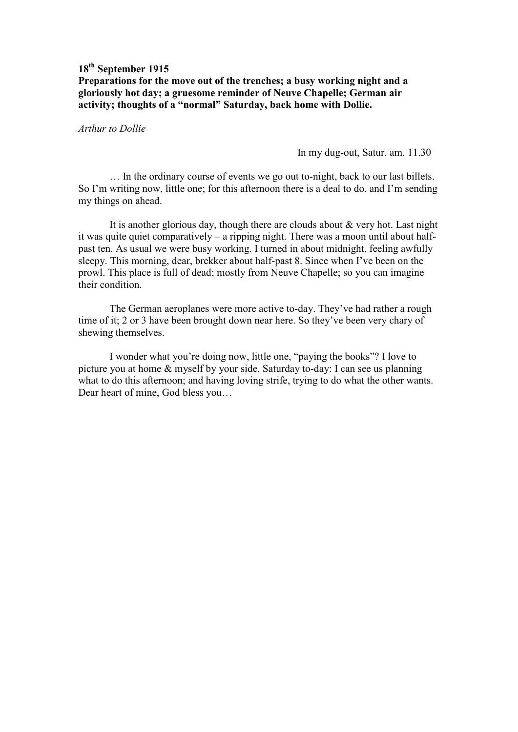### **18th September 1915 Preparations for the move out of the trenches; a busy working night and a gloriously hot day; a gruesome reminder of Neuve Chapelle; German air activity; thoughts of a "normal" Saturday, back home with Dollie.**

*Arthur to Dollie* 

In my dug-out, Satur. am. 11.30

 … In the ordinary course of events we go out to-night, back to our last billets. So I'm writing now, little one; for this afternoon there is a deal to do, and I'm sending my things on ahead.

 It is another glorious day, though there are clouds about & very hot. Last night it was quite quiet comparatively – a ripping night. There was a moon until about halfpast ten. As usual we were busy working. I turned in about midnight, feeling awfully sleepy. This morning, dear, brekker about half-past 8. Since when I've been on the prowl. This place is full of dead; mostly from Neuve Chapelle; so you can imagine their condition.

 The German aeroplanes were more active to-day. They've had rather a rough time of it; 2 or 3 have been brought down near here. So they've been very chary of shewing themselves.

 I wonder what you're doing now, little one, "paying the books"? I love to picture you at home & myself by your side. Saturday to-day: I can see us planning what to do this afternoon; and having loving strife, trying to do what the other wants. Dear heart of mine, God bless you…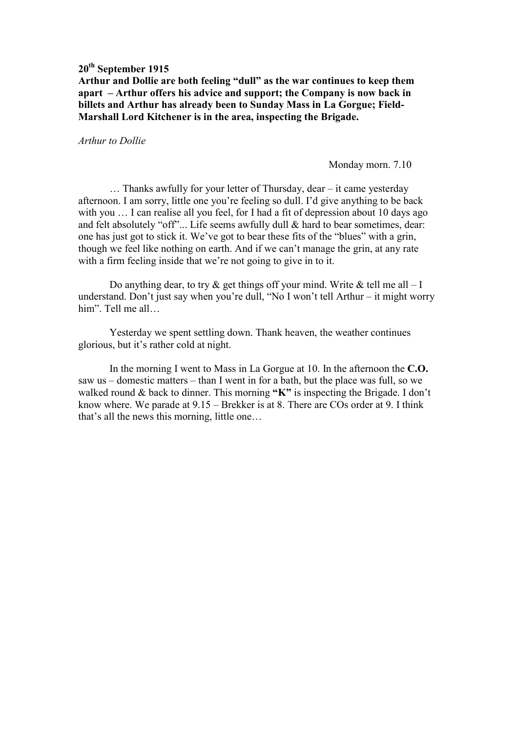**Arthur and Dollie are both feeling "dull" as the war continues to keep them apart – Arthur offers his advice and support; the Company is now back in billets and Arthur has already been to Sunday Mass in La Gorgue; Field-Marshall Lord Kitchener is in the area, inspecting the Brigade.** 

*Arthur to Dollie* 

Monday morn. 7.10

 … Thanks awfully for your letter of Thursday, dear – it came yesterday afternoon. I am sorry, little one you're feeling so dull. I'd give anything to be back with you ... I can realise all you feel, for I had a fit of depression about 10 days ago and felt absolutely "off"... Life seems awfully dull & hard to bear sometimes, dear: one has just got to stick it. We've got to bear these fits of the "blues" with a grin, though we feel like nothing on earth. And if we can't manage the grin, at any rate with a firm feeling inside that we're not going to give in to it.

Do anything dear, to try  $\&$  get things off your mind. Write  $\&$  tell me all – I understand. Don't just say when you're dull, "No I won't tell Arthur – it might worry him". Tell me all…

 Yesterday we spent settling down. Thank heaven, the weather continues glorious, but it's rather cold at night.

 In the morning I went to Mass in La Gorgue at 10. In the afternoon the **C.O.** saw us – domestic matters – than I went in for a bath, but the place was full, so we walked round & back to dinner. This morning **"K"** is inspecting the Brigade. I don't know where. We parade at 9.15 – Brekker is at 8. There are COs order at 9. I think that's all the news this morning, little one…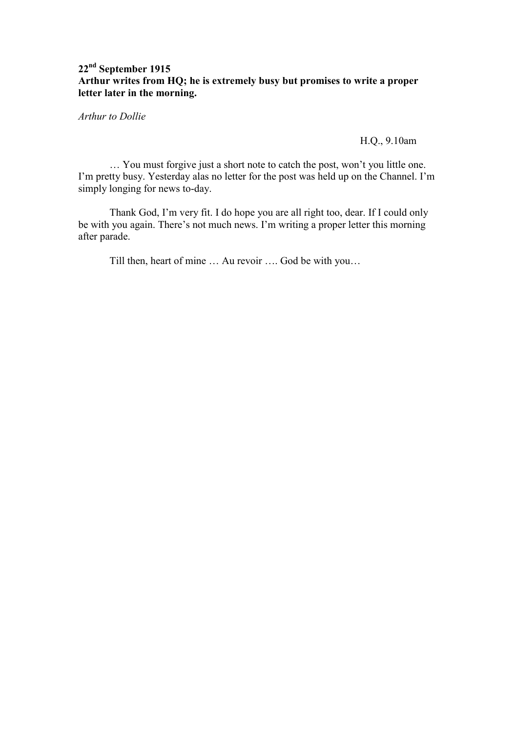## **22nd September 1915 Arthur writes from HQ; he is extremely busy but promises to write a proper letter later in the morning.**

*Arthur to Dollie* 

H.Q., 9.10am

 … You must forgive just a short note to catch the post, won't you little one. I'm pretty busy. Yesterday alas no letter for the post was held up on the Channel. I'm simply longing for news to-day.

 Thank God, I'm very fit. I do hope you are all right too, dear. If I could only be with you again. There's not much news. I'm writing a proper letter this morning after parade.

Till then, heart of mine … Au revoir …. God be with you…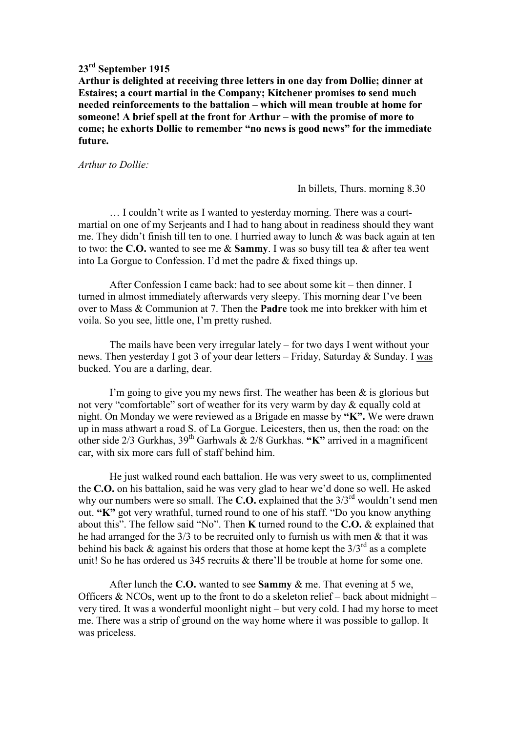### **23rd September 1915**

**Arthur is delighted at receiving three letters in one day from Dollie; dinner at Estaires; a court martial in the Company; Kitchener promises to send much needed reinforcements to the battalion – which will mean trouble at home for someone! A brief spell at the front for Arthur – with the promise of more to come; he exhorts Dollie to remember "no news is good news" for the immediate future.** 

*Arthur to Dollie:* 

In billets, Thurs. morning 8.30

 … I couldn't write as I wanted to yesterday morning. There was a courtmartial on one of my Serjeants and I had to hang about in readiness should they want me. They didn't finish till ten to one. I hurried away to lunch & was back again at ten to two: the **C.O.** wanted to see me & **Sammy**. I was so busy till tea & after tea went into La Gorgue to Confession. I'd met the padre & fixed things up.

 After Confession I came back: had to see about some kit – then dinner. I turned in almost immediately afterwards very sleepy. This morning dear I've been over to Mass & Communion at 7. Then the **Padre** took me into brekker with him et voila. So you see, little one, I'm pretty rushed.

 The mails have been very irregular lately – for two days I went without your news. Then yesterday I got 3 of your dear letters – Friday, Saturday & Sunday. I was bucked. You are a darling, dear.

I'm going to give you my news first. The weather has been  $\&$  is glorious but not very "comfortable" sort of weather for its very warm by day & equally cold at night. On Monday we were reviewed as a Brigade en masse by **"K".** We were drawn up in mass athwart a road S. of La Gorgue. Leicesters, then us, then the road: on the other side 2/3 Gurkhas, 39th Garhwals & 2/8 Gurkhas. **"K"** arrived in a magnificent car, with six more cars full of staff behind him.

 He just walked round each battalion. He was very sweet to us, complimented the **C.O.** on his battalion, said he was very glad to hear we'd done so well. He asked why our numbers were so small. The **C.O.** explained that the  $3/3^{rd}$  wouldn't send men out. **"K"** got very wrathful, turned round to one of his staff. "Do you know anything about this". The fellow said "No". Then **K** turned round to the **C.O.** & explained that he had arranged for the 3/3 to be recruited only to furnish us with men & that it was behind his back  $\&$  against his orders that those at home kept the  $3/3^{rd}$  as a complete unit! So he has ordered us 345 recruits & there'll be trouble at home for some one.

 After lunch the **C.O.** wanted to see **Sammy** & me. That evening at 5 we, Officers  $\&$  NCOs, went up to the front to do a skeleton relief – back about midnight – very tired. It was a wonderful moonlight night – but very cold. I had my horse to meet me. There was a strip of ground on the way home where it was possible to gallop. It was priceless.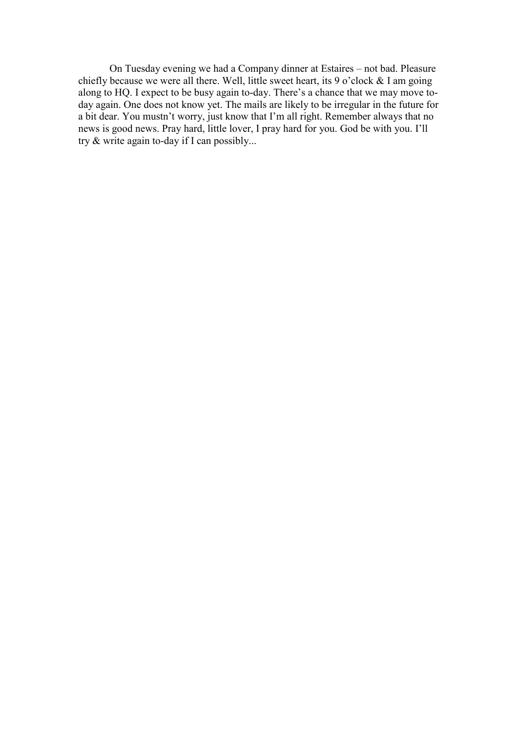On Tuesday evening we had a Company dinner at Estaires – not bad. Pleasure chiefly because we were all there. Well, little sweet heart, its 9 o'clock & I am going along to HQ. I expect to be busy again to-day. There's a chance that we may move today again. One does not know yet. The mails are likely to be irregular in the future for a bit dear. You mustn't worry, just know that I'm all right. Remember always that no news is good news. Pray hard, little lover, I pray hard for you. God be with you. I'll try & write again to-day if I can possibly...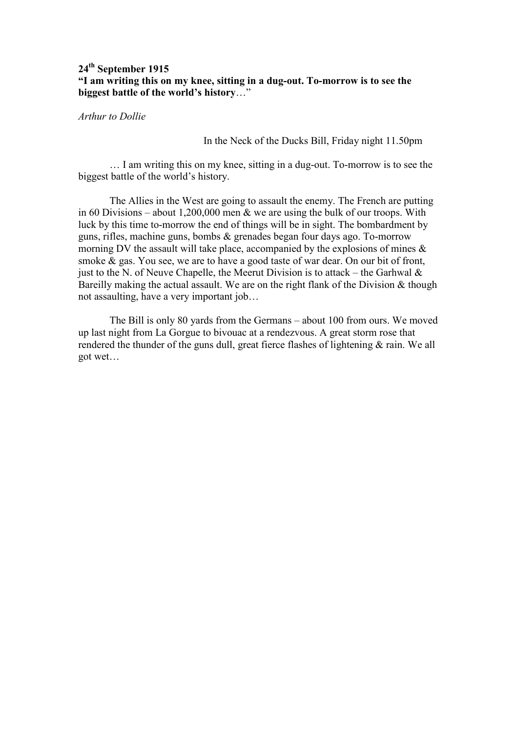### **24th September 1915 "I am writing this on my knee, sitting in a dug-out. To-morrow is to see the biggest battle of the world's history**…"

*Arthur to Dollie* 

In the Neck of the Ducks Bill, Friday night 11.50pm

 … I am writing this on my knee, sitting in a dug-out. To-morrow is to see the biggest battle of the world's history.

 The Allies in the West are going to assault the enemy. The French are putting in 60 Divisions – about 1,200,000 men & we are using the bulk of our troops. With luck by this time to-morrow the end of things will be in sight. The bombardment by guns, rifles, machine guns, bombs & grenades began four days ago. To-morrow morning DV the assault will take place, accompanied by the explosions of mines & smoke & gas. You see, we are to have a good taste of war dear. On our bit of front, just to the N. of Neuve Chapelle, the Meerut Division is to attack – the Garhwal  $\&$ Bareilly making the actual assault. We are on the right flank of the Division & though not assaulting, have a very important job…

 The Bill is only 80 yards from the Germans – about 100 from ours. We moved up last night from La Gorgue to bivouac at a rendezvous. A great storm rose that rendered the thunder of the guns dull, great fierce flashes of lightening & rain. We all got wet…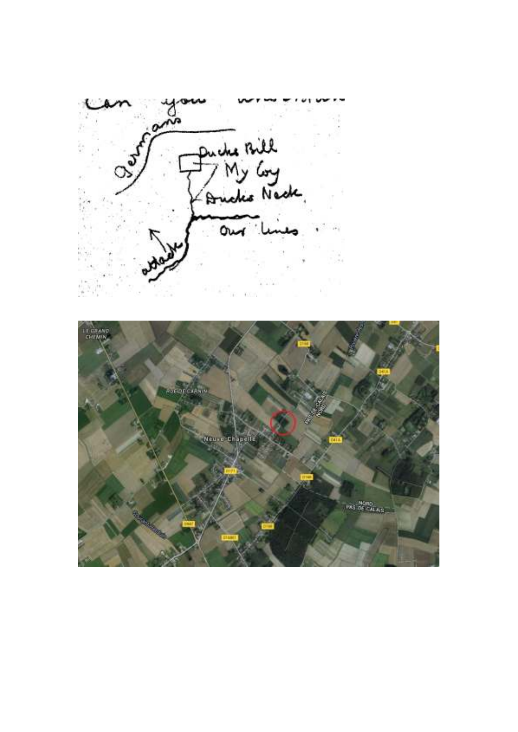Ourfland Puche Bill<br>- My Coy<br>- Anche Neck,<br>- Our lines

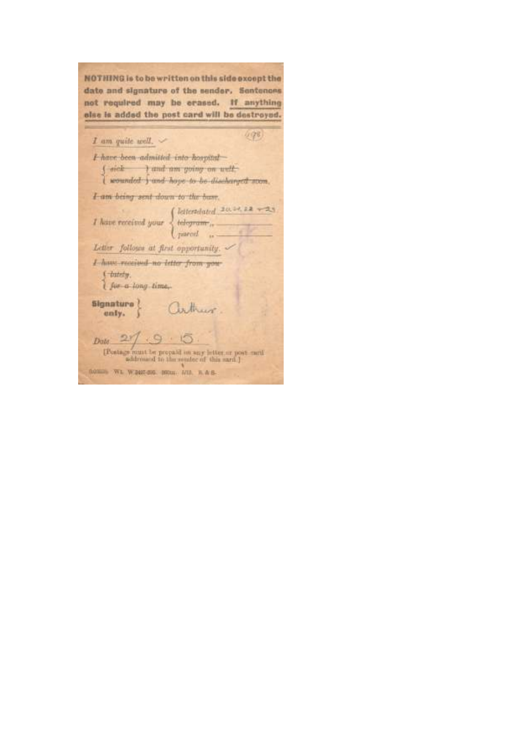NOTHING is to be written on this side except the date and signature of the sender. Sentences not required may be erased. If anything olse is added the post card will be destroyed.

| I am quite well.                                                       | 098                                                                                                                           |  |
|------------------------------------------------------------------------|-------------------------------------------------------------------------------------------------------------------------------|--|
| I have been admitted into hospital                                     |                                                                                                                               |  |
|                                                                        | f sick I and am going on well.<br>I wounded f and hope to be discharged soon.                                                 |  |
| I am being sent down to the base.                                      |                                                                                                                               |  |
|                                                                        | <i>I</i> have received your $\begin{cases} \text{lateralated 20.32, 22 - 23} \\ \text{tdegree}, \\ \text{parent} \end{cases}$ |  |
| Letter follows at first opportunity.                                   |                                                                                                                               |  |
| I have received no litter from you-<br>f bitely.<br>I fix a long time, |                                                                                                                               |  |
| Signature }<br>enly.                                                   | arthur                                                                                                                        |  |
| 27.9.5<br>Date:                                                        | [Postage must be propaid on any letter.ur post med<br>addressed to the sender of this sami.]                                  |  |
| 0.0000 WL W300-56 H000 NO. R & S-                                      |                                                                                                                               |  |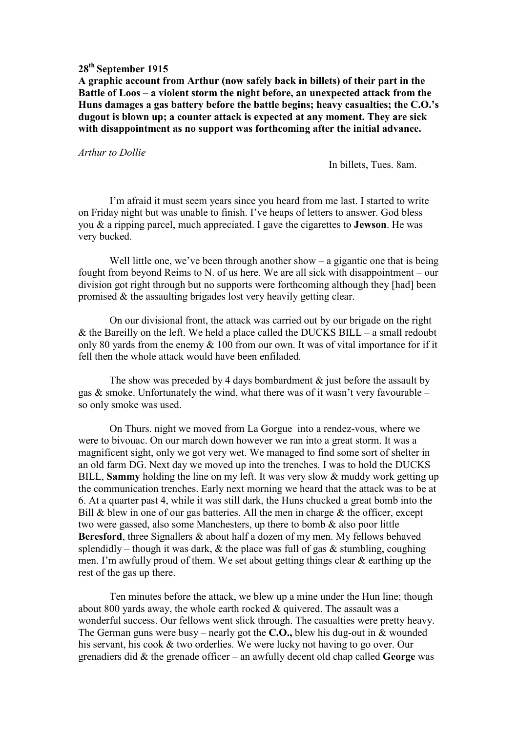**A graphic account from Arthur (now safely back in billets) of their part in the Battle of Loos – a violent storm the night before, an unexpected attack from the Huns damages a gas battery before the battle begins; heavy casualties; the C.O.'s dugout is blown up; a counter attack is expected at any moment. They are sick with disappointment as no support was forthcoming after the initial advance.** 

#### *Arthur to Dollie*

In billets, Tues. 8am.

 I'm afraid it must seem years since you heard from me last. I started to write on Friday night but was unable to finish. I've heaps of letters to answer. God bless you & a ripping parcel, much appreciated. I gave the cigarettes to **Jewson**. He was very bucked.

Well little one, we've been through another show  $-$  a gigantic one that is being fought from beyond Reims to N. of us here. We are all sick with disappointment – our division got right through but no supports were forthcoming although they [had] been promised & the assaulting brigades lost very heavily getting clear.

 On our divisional front, the attack was carried out by our brigade on the right & the Bareilly on the left. We held a place called the DUCKS BILL – a small redoubt only 80 yards from the enemy & 100 from our own. It was of vital importance for if it fell then the whole attack would have been enfiladed.

The show was preceded by 4 days bombardment  $\&$  just before the assault by gas  $\&$  smoke. Unfortunately the wind, what there was of it wasn't very favourable – so only smoke was used.

 On Thurs. night we moved from La Gorgue into a rendez-vous, where we were to bivouac. On our march down however we ran into a great storm. It was a magnificent sight, only we got very wet. We managed to find some sort of shelter in an old farm DG. Next day we moved up into the trenches. I was to hold the DUCKS BILL, **Sammy** holding the line on my left. It was very slow & muddy work getting up the communication trenches. Early next morning we heard that the attack was to be at 6. At a quarter past 4, while it was still dark, the Huns chucked a great bomb into the Bill  $\&$  blew in one of our gas batteries. All the men in charge  $\&$  the officer, except two were gassed, also some Manchesters, up there to bomb & also poor little **Beresford**, three Signallers & about half a dozen of my men. My fellows behaved splendidly – though it was dark,  $\&$  the place was full of gas  $\&$  stumbling, coughing men. I'm awfully proud of them. We set about getting things clear & earthing up the rest of the gas up there.

Ten minutes before the attack, we blew up a mine under the Hun line; though about 800 yards away, the whole earth rocked & quivered. The assault was a wonderful success. Our fellows went slick through. The casualties were pretty heavy. The German guns were busy – nearly got the **C.O.,** blew his dug-out in & wounded his servant, his cook & two orderlies. We were lucky not having to go over. Our grenadiers did & the grenade officer – an awfully decent old chap called **George** was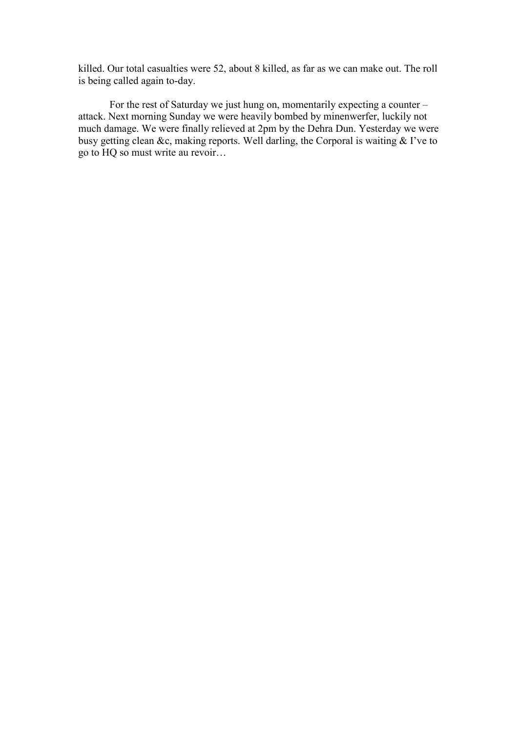killed. Our total casualties were 52, about 8 killed, as far as we can make out. The roll is being called again to-day.

For the rest of Saturday we just hung on, momentarily expecting a counter – attack. Next morning Sunday we were heavily bombed by minenwerfer, luckily not much damage. We were finally relieved at 2pm by the Dehra Dun. Yesterday we were busy getting clean &c, making reports. Well darling, the Corporal is waiting & I've to go to HQ so must write au revoir…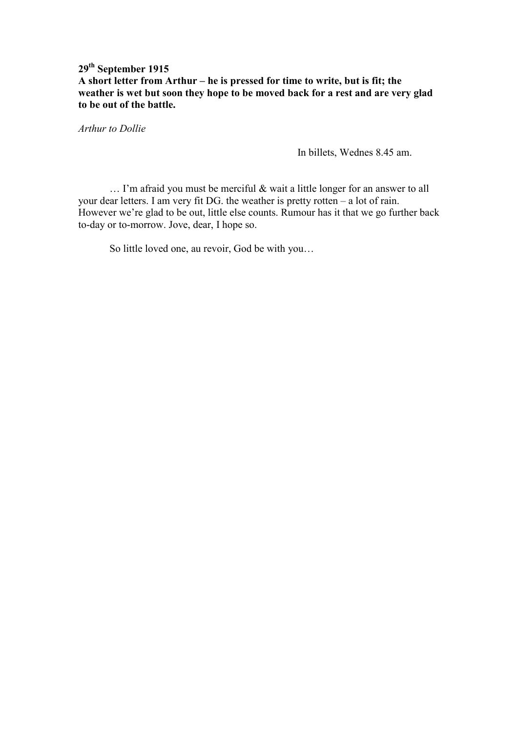## **29th September 1915 A short letter from Arthur – he is pressed for time to write, but is fit; the weather is wet but soon they hope to be moved back for a rest and are very glad to be out of the battle.**

*Arthur to Dollie* 

In billets, Wednes 8.45 am.

 … I'm afraid you must be merciful & wait a little longer for an answer to all your dear letters. I am very fit DG. the weather is pretty rotten – a lot of rain. However we're glad to be out, little else counts. Rumour has it that we go further back to-day or to-morrow. Jove, dear, I hope so.

So little loved one, au revoir, God be with you…